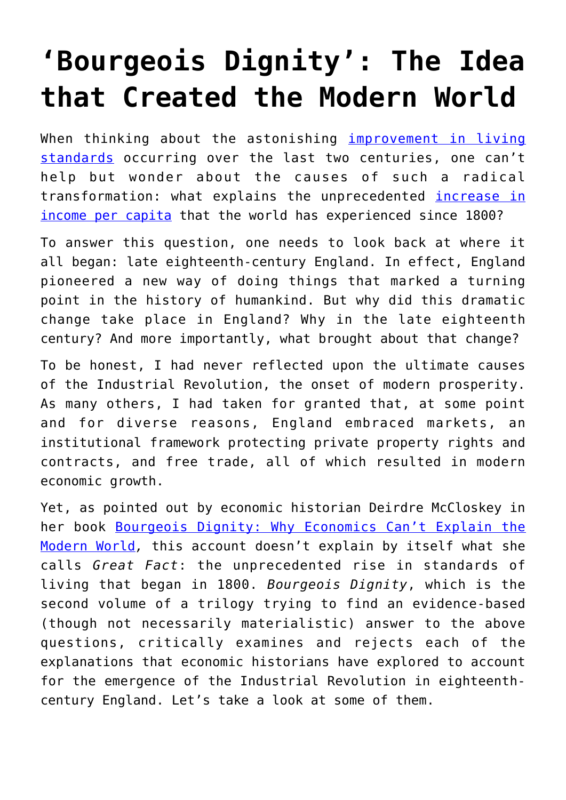## **['Bourgeois Dignity': The Idea](https://intellectualtakeout.org/2018/06/bourgeois-dignity-the-idea-that-created-the-modern-world/) [that Created the Modern World](https://intellectualtakeout.org/2018/06/bourgeois-dignity-the-idea-that-created-the-modern-world/)**

When thinking about the astonishing [improvement in living](https://www.speakfreely.today/2017/03/26/evidence-not-lie-prosperity-conquering-world-leaps-bounds/) [standards](https://www.speakfreely.today/2017/03/26/evidence-not-lie-prosperity-conquering-world-leaps-bounds/) occurring over the last two centuries, one can't help but wonder about the causes of such a radical transformation: what explains the unprecedented *[increase in](https://ourworldindata.org/grapher/world-gdp-over-the-last-two-millennia)* [income per capita](https://ourworldindata.org/grapher/world-gdp-over-the-last-two-millennia) that the world has experienced since 1800?

To answer this question, one needs to look back at where it all began: late eighteenth-century England. In effect, England pioneered a new way of doing things that marked a turning point in the history of humankind. But why did this dramatic change take place in England? Why in the late eighteenth century? And more importantly, what brought about that change?

To be honest, I had never reflected upon the ultimate causes of the Industrial Revolution, the onset of modern prosperity. As many others, I had taken for granted that, at some point and for diverse reasons, England embraced markets, an institutional framework protecting private property rights and contracts, and free trade, all of which resulted in modern economic growth.

Yet, as pointed out by economic historian Deirdre McCloskey in her book [Bourgeois Dignity: Why Economics Can't Explain the](https://amzn.to/2thBBeF) [Modern World](https://amzn.to/2thBBeF)*,* this account doesn't explain by itself what she calls *Great Fact*: the unprecedented rise in standards of living that began in 1800. *Bourgeois Dignity*, which is the second volume of a trilogy trying to find an evidence-based (though not necessarily materialistic) answer to the above questions, critically examines and rejects each of the explanations that economic historians have explored to account for the emergence of the Industrial Revolution in eighteenthcentury England. Let's take a look at some of them.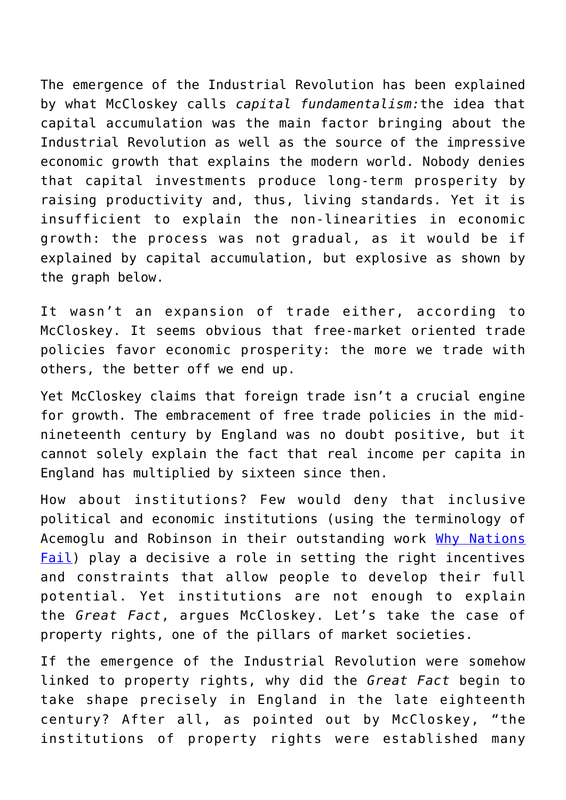The emergence of the Industrial Revolution has been explained by what McCloskey calls *capital fundamentalism:*the idea that capital accumulation was the main factor bringing about the Industrial Revolution as well as the source of the impressive economic growth that explains the modern world. Nobody denies that capital investments produce long-term prosperity by raising productivity and, thus, living standards. Yet it is insufficient to explain the non-linearities in economic growth: the process was not gradual, as it would be if explained by capital accumulation, but explosive as shown by the graph below.

It wasn't an expansion of trade either, according to McCloskey. It seems obvious that free-market oriented trade policies favor economic prosperity: the more we trade with others, the better off we end up.

Yet McCloskey claims that foreign trade isn't a crucial engine for growth. The embracement of free trade policies in the midnineteenth century by England was no doubt positive, but it cannot solely explain the fact that real income per capita in England has multiplied by sixteen since then.

How about institutions? Few would deny that inclusive political and economic institutions (using the terminology of Acemoglu and Robinson in their outstanding work [Why Nations](https://amzn.to/2MMxCz2) [Fail](https://amzn.to/2MMxCz2)) play a decisive a role in setting the right incentives and constraints that allow people to develop their full potential. Yet institutions are not enough to explain the *Great Fact*, argues McCloskey. Let's take the case of property rights, one of the pillars of market societies.

If the emergence of the Industrial Revolution were somehow linked to property rights, why did the *Great Fact* begin to take shape precisely in England in the late eighteenth century? After all, as pointed out by McCloskey, "the institutions of property rights were established many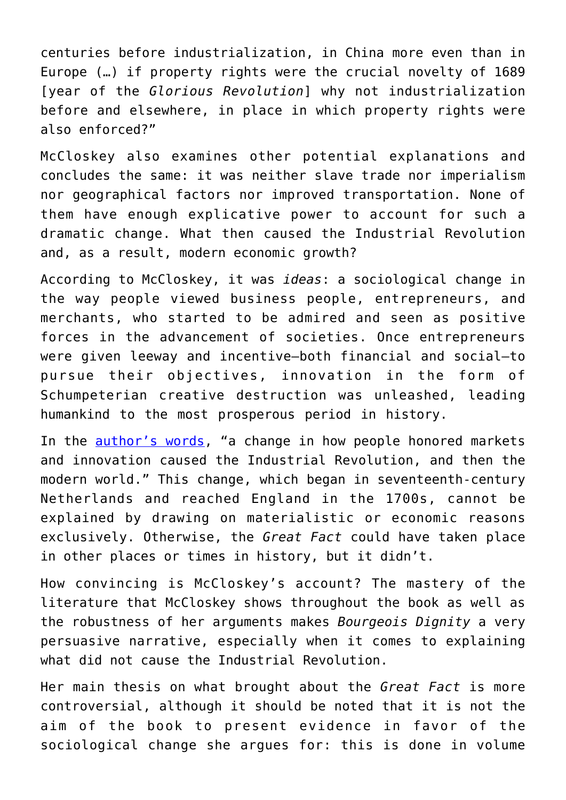centuries before industrialization, in China more even than in Europe (…) if property rights were the crucial novelty of 1689 [year of the *Glorious Revolution*] why not industrialization before and elsewhere, in place in which property rights were also enforced?"

McCloskey also examines other potential explanations and concludes the same: it was neither slave trade nor imperialism nor geographical factors nor improved transportation. None of them have enough explicative power to account for such a dramatic change. What then caused the Industrial Revolution and, as a result, modern economic growth?

According to McCloskey, it was *ideas*: a sociological change in the way people viewed business people, entrepreneurs, and merchants, who started to be admired and seen as positive forces in the advancement of societies. Once entrepreneurs were given leeway and incentive—both financial and social—to pursue their objectives, innovation in the form of Schumpeterian creative destruction was unleashed, leading humankind to the most prosperous period in history.

In the [author's words](http://deirdremccloskey.com/articles/bd/briefBD.php), "a change in how people honored markets and innovation caused the Industrial Revolution, and then the modern world." This change, which began in seventeenth-century Netherlands and reached England in the 1700s, cannot be explained by drawing on materialistic or economic reasons exclusively. Otherwise, the *Great Fact* could have taken place in other places or times in history, but it didn't.

How convincing is McCloskey's account? The mastery of the literature that McCloskey shows throughout the book as well as the robustness of her arguments makes *Bourgeois Dignity* a very persuasive narrative, especially when it comes to explaining what did not cause the Industrial Revolution.

Her main thesis on what brought about the *Great Fact* is more controversial, although it should be noted that it is not the aim of the book to present evidence in favor of the sociological change she argues for: this is done in volume